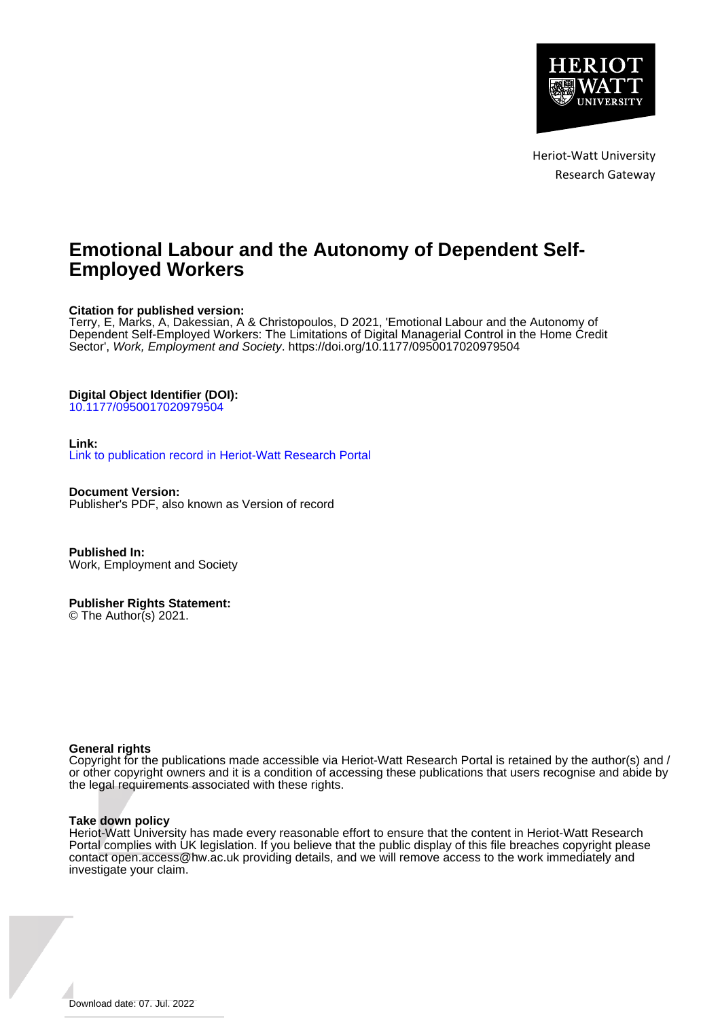

Heriot-Watt University Research Gateway

# **Emotional Labour and the Autonomy of Dependent Self-Employed Workers**

# **Citation for published version:**

Terry, E, Marks, A, Dakessian, A & Christopoulos, D 2021, 'Emotional Labour and the Autonomy of Dependent Self-Employed Workers: The Limitations of Digital Managerial Control in the Home Credit Sector', Work, Employment and Society.<https://doi.org/10.1177/0950017020979504>

### **Digital Object Identifier (DOI):**

[10.1177/0950017020979504](https://doi.org/10.1177/0950017020979504)

### **Link:**

[Link to publication record in Heriot-Watt Research Portal](https://researchportal.hw.ac.uk/en/publications/f7ff3776-e43f-4ab5-a331-44f0309b549e)

**Document Version:** Publisher's PDF, also known as Version of record

**Published In:** Work, Employment and Society

### **Publisher Rights Statement:**

© The Author(s) 2021.

### **General rights**

Copyright for the publications made accessible via Heriot-Watt Research Portal is retained by the author(s) and / or other copyright owners and it is a condition of accessing these publications that users recognise and abide by the legal requirements associated with these rights.

### **Take down policy**

Heriot-Watt University has made every reasonable effort to ensure that the content in Heriot-Watt Research Portal complies with UK legislation. If you believe that the public display of this file breaches copyright please contact open.access@hw.ac.uk providing details, and we will remove access to the work immediately and investigate your claim.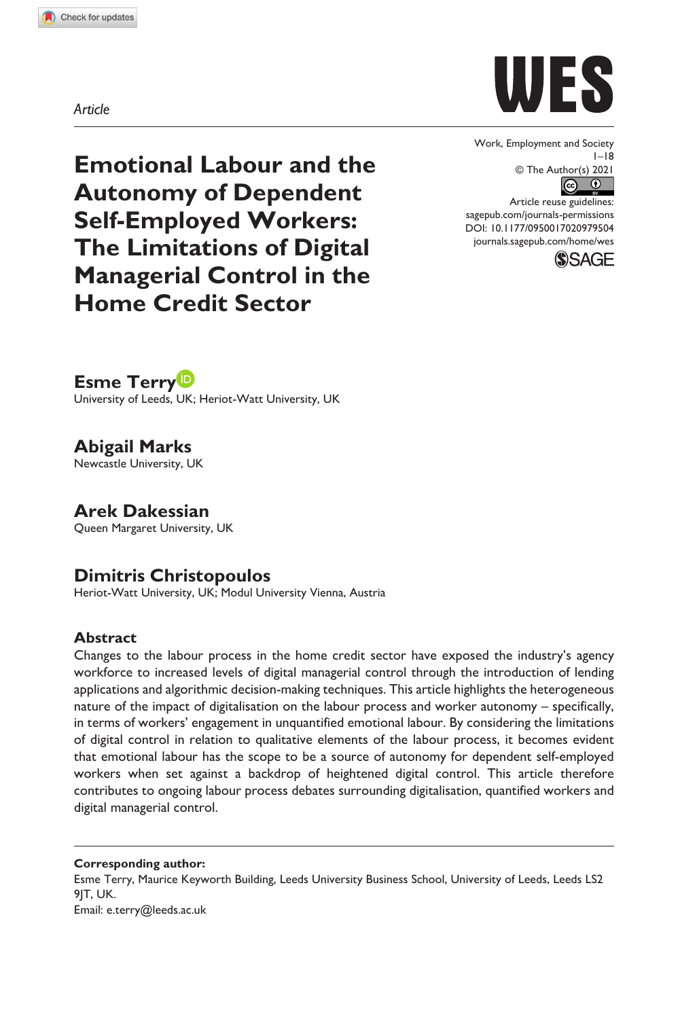**9795[04](http://crossmark.crossref.org/dialog/?doi=10.1177%2F0950017020979504&domain=pdf&date_stamp=2021-01-17)** WES0010.1177/0950017020979504Work, Employment and Society**Terry et al.**



Work, Employment and Society  $1 - 18$ © The Author(s) 2021

DOI: 10.1177/0950017020979504 Article reuse guidelines: [sagepub.com/journals-permissions](https://uk.sagepub.com/en-gb/journals-permissions) [journals.sagepub.com/home/wes](https://journals.sagepub.com/home/wes)



**Emotional Labour and the Autonomy of Dependent Self-Employed Workers: The Limitations of Digital Managerial Control in the Home Credit Sector**

**Esme Terry**

University of Leeds, UK; Heriot-Watt University, UK

**Abigail Marks** Newcastle University, UK

**Arek Dakessian** Queen Margaret University, UK

# **Dimitris Christopoulos**

Heriot-Watt University, UK; Modul University Vienna, Austria

# **Abstract**

Changes to the labour process in the home credit sector have exposed the industry's agency workforce to increased levels of digital managerial control through the introduction of lending applications and algorithmic decision-making techniques. This article highlights the heterogeneous nature of the impact of digitalisation on the labour process and worker autonomy – specifically, in terms of workers' engagement in unquantified emotional labour. By considering the limitations of digital control in relation to qualitative elements of the labour process, it becomes evident that emotional labour has the scope to be a source of autonomy for dependent self-employed workers when set against a backdrop of heightened digital control. This article therefore contributes to ongoing labour process debates surrounding digitalisation, quantified workers and digital managerial control.

**Corresponding author:**

Esme Terry, Maurice Keyworth Building, Leeds University Business School, University of Leeds, Leeds LS2 9IT, UK.

Email: [e.terry@leeds.ac.uk](mailto:e.terry@leeds.ac.uk)

### *Article*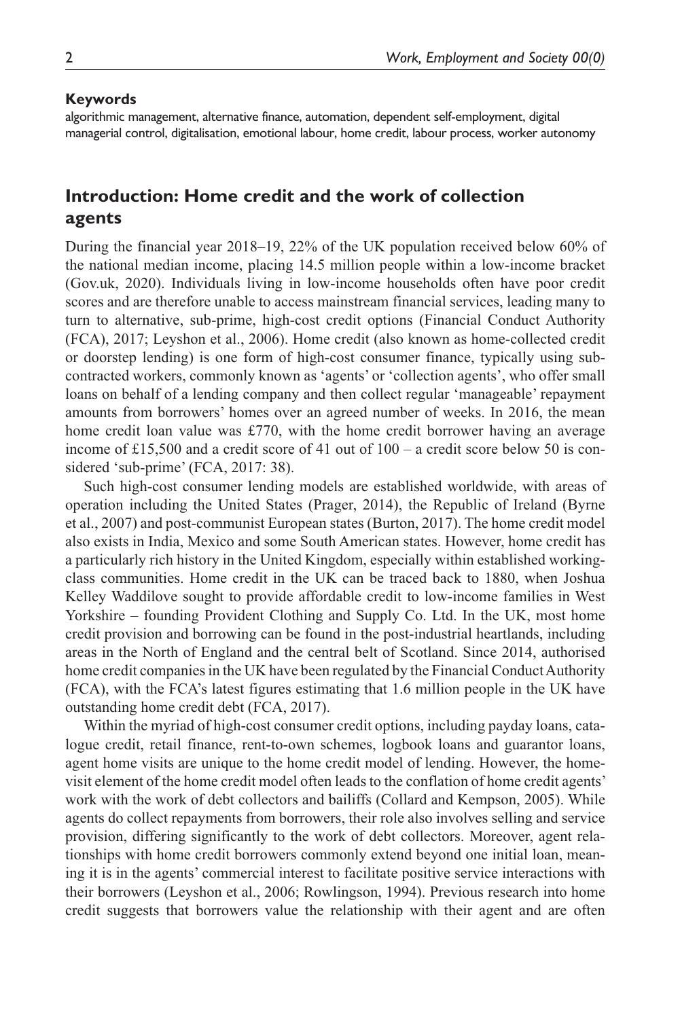#### **Keywords**

algorithmic management, alternative finance, automation, dependent self-employment, digital managerial control, digitalisation, emotional labour, home credit, labour process, worker autonomy

# **Introduction: Home credit and the work of collection agents**

During the financial year 2018–19, 22% of the UK population received below 60% of the national median income, placing 14.5 million people within a low-income bracket (Gov.uk, 2020). Individuals living in low-income households often have poor credit scores and are therefore unable to access mainstream financial services, leading many to turn to alternative, sub-prime, high-cost credit options (Financial Conduct Authority (FCA), 2017; Leyshon et al., 2006). Home credit (also known as home-collected credit or doorstep lending) is one form of high-cost consumer finance, typically using subcontracted workers, commonly known as 'agents' or 'collection agents', who offer small loans on behalf of a lending company and then collect regular 'manageable' repayment amounts from borrowers' homes over an agreed number of weeks. In 2016, the mean home credit loan value was £770, with the home credit borrower having an average income of £15,500 and a credit score of 41 out of  $100 - a$  credit score below 50 is considered 'sub-prime' (FCA, 2017: 38).

Such high-cost consumer lending models are established worldwide, with areas of operation including the United States (Prager, 2014), the Republic of Ireland (Byrne et al., 2007) and post-communist European states (Burton, 2017). The home credit model also exists in India, Mexico and some South American states. However, home credit has a particularly rich history in the United Kingdom, especially within established workingclass communities. Home credit in the UK can be traced back to 1880, when Joshua Kelley Waddilove sought to provide affordable credit to low-income families in West Yorkshire – founding Provident Clothing and Supply Co. Ltd. In the UK, most home credit provision and borrowing can be found in the post-industrial heartlands, including areas in the North of England and the central belt of Scotland. Since 2014, authorised home credit companies in the UK have been regulated by the Financial Conduct Authority (FCA), with the FCA's latest figures estimating that 1.6 million people in the UK have outstanding home credit debt (FCA, 2017).

Within the myriad of high-cost consumer credit options, including payday loans, catalogue credit, retail finance, rent-to-own schemes, logbook loans and guarantor loans, agent home visits are unique to the home credit model of lending. However, the homevisit element of the home credit model often leads to the conflation of home credit agents' work with the work of debt collectors and bailiffs (Collard and Kempson, 2005). While agents do collect repayments from borrowers, their role also involves selling and service provision, differing significantly to the work of debt collectors. Moreover, agent relationships with home credit borrowers commonly extend beyond one initial loan, meaning it is in the agents' commercial interest to facilitate positive service interactions with their borrowers (Leyshon et al., 2006; Rowlingson, 1994). Previous research into home credit suggests that borrowers value the relationship with their agent and are often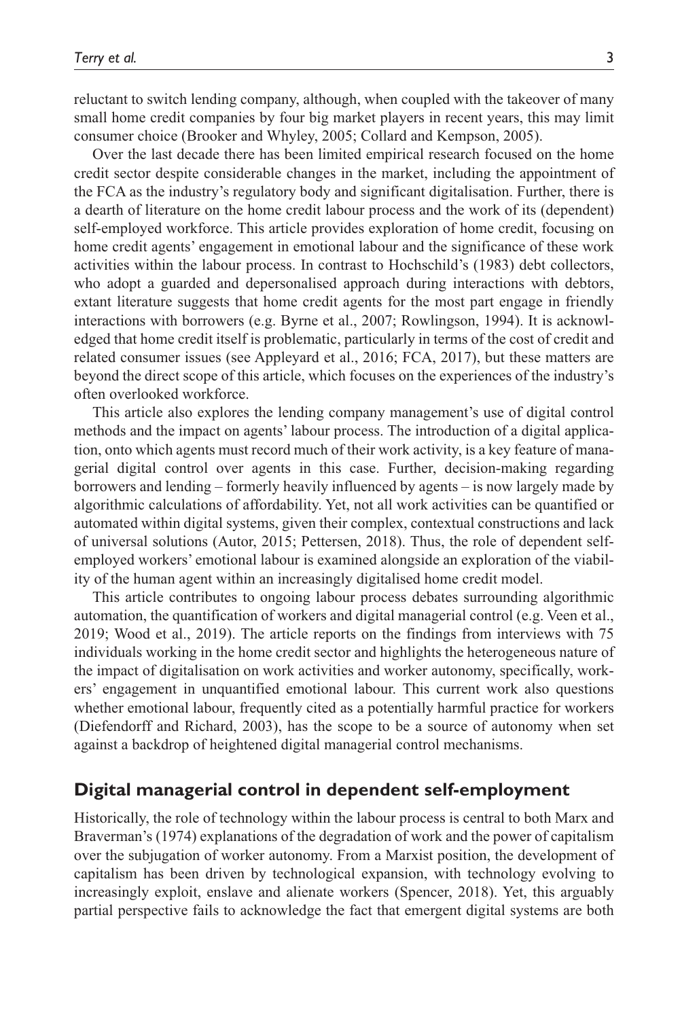reluctant to switch lending company, although, when coupled with the takeover of many small home credit companies by four big market players in recent years, this may limit consumer choice (Brooker and Whyley, 2005; Collard and Kempson, 2005).

Over the last decade there has been limited empirical research focused on the home credit sector despite considerable changes in the market, including the appointment of the FCA as the industry's regulatory body and significant digitalisation. Further, there is a dearth of literature on the home credit labour process and the work of its (dependent) self-employed workforce. This article provides exploration of home credit, focusing on home credit agents' engagement in emotional labour and the significance of these work activities within the labour process. In contrast to Hochschild's (1983) debt collectors, who adopt a guarded and depersonalised approach during interactions with debtors, extant literature suggests that home credit agents for the most part engage in friendly interactions with borrowers (e.g. Byrne et al., 2007; Rowlingson, 1994). It is acknowledged that home credit itself is problematic, particularly in terms of the cost of credit and related consumer issues (see Appleyard et al., 2016; FCA, 2017), but these matters are beyond the direct scope of this article, which focuses on the experiences of the industry's often overlooked workforce.

This article also explores the lending company management's use of digital control methods and the impact on agents' labour process. The introduction of a digital application, onto which agents must record much of their work activity, is a key feature of managerial digital control over agents in this case. Further, decision-making regarding borrowers and lending – formerly heavily influenced by agents – is now largely made by algorithmic calculations of affordability. Yet, not all work activities can be quantified or automated within digital systems, given their complex, contextual constructions and lack of universal solutions (Autor, 2015; Pettersen, 2018). Thus, the role of dependent selfemployed workers' emotional labour is examined alongside an exploration of the viability of the human agent within an increasingly digitalised home credit model.

This article contributes to ongoing labour process debates surrounding algorithmic automation, the quantification of workers and digital managerial control (e.g. Veen et al., 2019; Wood et al., 2019). The article reports on the findings from interviews with 75 individuals working in the home credit sector and highlights the heterogeneous nature of the impact of digitalisation on work activities and worker autonomy, specifically, workers' engagement in unquantified emotional labour. This current work also questions whether emotional labour, frequently cited as a potentially harmful practice for workers (Diefendorff and Richard, 2003), has the scope to be a source of autonomy when set against a backdrop of heightened digital managerial control mechanisms.

### **Digital managerial control in dependent self-employment**

Historically, the role of technology within the labour process is central to both Marx and Braverman's (1974) explanations of the degradation of work and the power of capitalism over the subjugation of worker autonomy. From a Marxist position, the development of capitalism has been driven by technological expansion, with technology evolving to increasingly exploit, enslave and alienate workers (Spencer, 2018). Yet, this arguably partial perspective fails to acknowledge the fact that emergent digital systems are both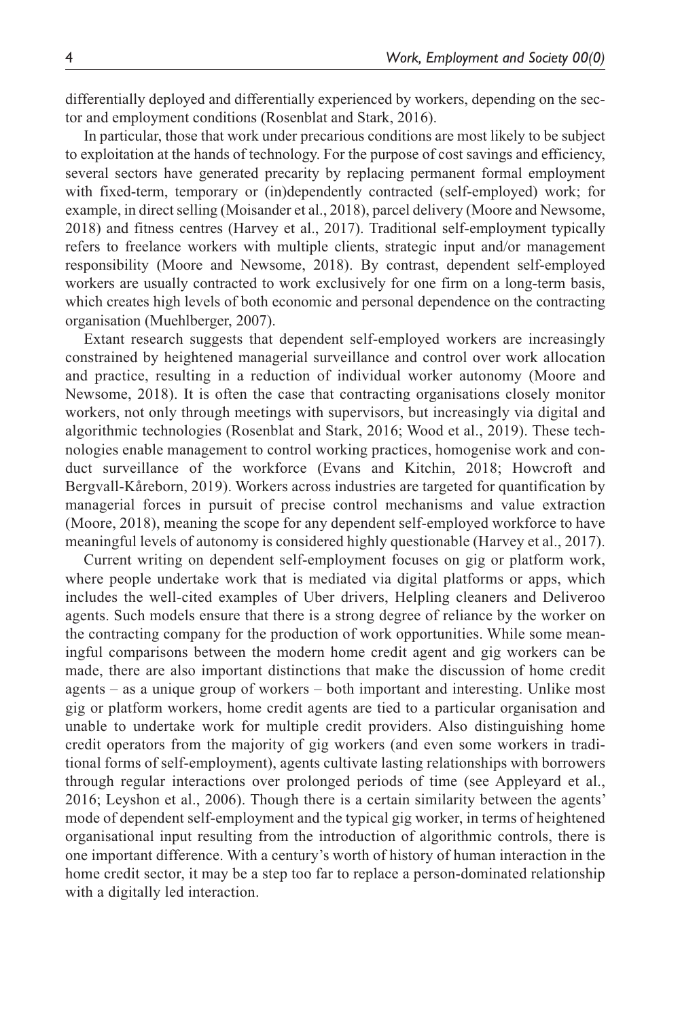differentially deployed and differentially experienced by workers, depending on the sector and employment conditions (Rosenblat and Stark, 2016).

In particular, those that work under precarious conditions are most likely to be subject to exploitation at the hands of technology. For the purpose of cost savings and efficiency, several sectors have generated precarity by replacing permanent formal employment with fixed-term, temporary or (in)dependently contracted (self-employed) work; for example, in direct selling (Moisander et al., 2018), parcel delivery (Moore and Newsome, 2018) and fitness centres (Harvey et al., 2017). Traditional self-employment typically refers to freelance workers with multiple clients, strategic input and/or management responsibility (Moore and Newsome, 2018). By contrast, dependent self-employed workers are usually contracted to work exclusively for one firm on a long-term basis, which creates high levels of both economic and personal dependence on the contracting organisation (Muehlberger, 2007).

Extant research suggests that dependent self-employed workers are increasingly constrained by heightened managerial surveillance and control over work allocation and practice, resulting in a reduction of individual worker autonomy (Moore and Newsome, 2018). It is often the case that contracting organisations closely monitor workers, not only through meetings with supervisors, but increasingly via digital and algorithmic technologies (Rosenblat and Stark, 2016; Wood et al., 2019). These technologies enable management to control working practices, homogenise work and conduct surveillance of the workforce (Evans and Kitchin, 2018; Howcroft and Bergvall-Kåreborn, 2019). Workers across industries are targeted for quantification by managerial forces in pursuit of precise control mechanisms and value extraction (Moore, 2018), meaning the scope for any dependent self-employed workforce to have meaningful levels of autonomy is considered highly questionable (Harvey et al., 2017).

Current writing on dependent self-employment focuses on gig or platform work, where people undertake work that is mediated via digital platforms or apps, which includes the well-cited examples of Uber drivers, Helpling cleaners and Deliveroo agents. Such models ensure that there is a strong degree of reliance by the worker on the contracting company for the production of work opportunities. While some meaningful comparisons between the modern home credit agent and gig workers can be made, there are also important distinctions that make the discussion of home credit agents – as a unique group of workers – both important and interesting. Unlike most gig or platform workers, home credit agents are tied to a particular organisation and unable to undertake work for multiple credit providers. Also distinguishing home credit operators from the majority of gig workers (and even some workers in traditional forms of self-employment), agents cultivate lasting relationships with borrowers through regular interactions over prolonged periods of time (see Appleyard et al., 2016; Leyshon et al., 2006). Though there is a certain similarity between the agents' mode of dependent self-employment and the typical gig worker, in terms of heightened organisational input resulting from the introduction of algorithmic controls, there is one important difference. With a century's worth of history of human interaction in the home credit sector, it may be a step too far to replace a person-dominated relationship with a digitally led interaction.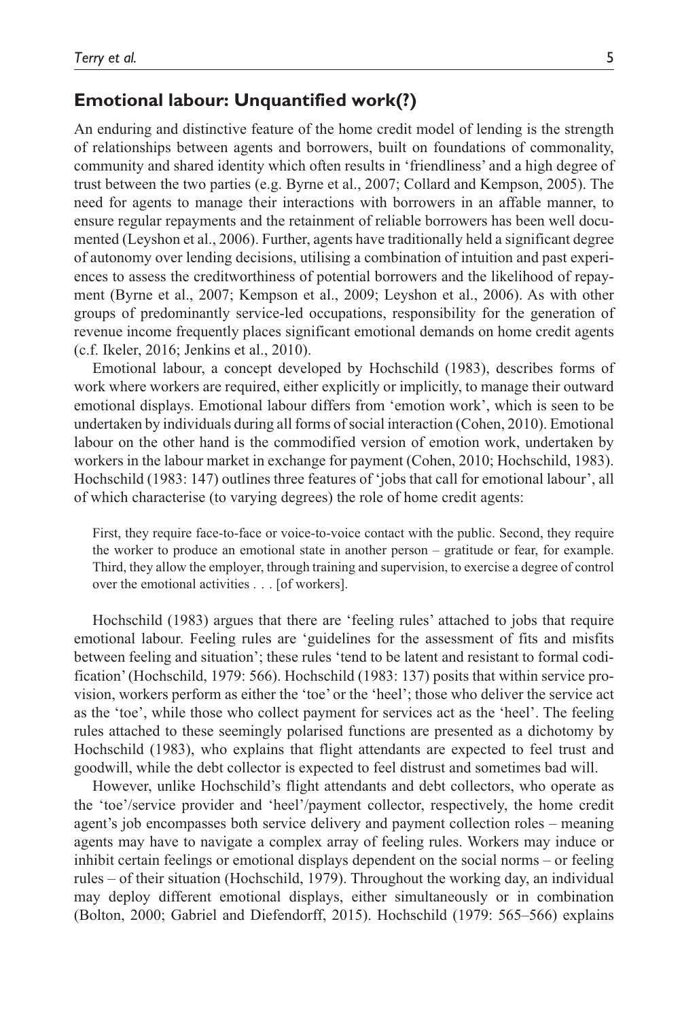# **Emotional labour: Unquantified work(?)**

An enduring and distinctive feature of the home credit model of lending is the strength of relationships between agents and borrowers, built on foundations of commonality, community and shared identity which often results in 'friendliness' and a high degree of trust between the two parties (e.g. Byrne et al., 2007; Collard and Kempson, 2005). The need for agents to manage their interactions with borrowers in an affable manner, to ensure regular repayments and the retainment of reliable borrowers has been well documented (Leyshon et al., 2006). Further, agents have traditionally held a significant degree of autonomy over lending decisions, utilising a combination of intuition and past experiences to assess the creditworthiness of potential borrowers and the likelihood of repayment (Byrne et al., 2007; Kempson et al., 2009; Leyshon et al., 2006). As with other groups of predominantly service-led occupations, responsibility for the generation of revenue income frequently places significant emotional demands on home credit agents (c.f. Ikeler, 2016; Jenkins et al., 2010).

Emotional labour, a concept developed by Hochschild (1983), describes forms of work where workers are required, either explicitly or implicitly, to manage their outward emotional displays. Emotional labour differs from 'emotion work', which is seen to be undertaken by individuals during all forms of social interaction (Cohen, 2010). Emotional labour on the other hand is the commodified version of emotion work, undertaken by workers in the labour market in exchange for payment (Cohen, 2010; Hochschild, 1983). Hochschild (1983: 147) outlines three features of 'jobs that call for emotional labour', all of which characterise (to varying degrees) the role of home credit agents:

First, they require face-to-face or voice-to-voice contact with the public. Second, they require the worker to produce an emotional state in another person – gratitude or fear, for example. Third, they allow the employer, through training and supervision, to exercise a degree of control over the emotional activities . . . [of workers].

Hochschild (1983) argues that there are 'feeling rules' attached to jobs that require emotional labour. Feeling rules are 'guidelines for the assessment of fits and misfits between feeling and situation'; these rules 'tend to be latent and resistant to formal codification' (Hochschild, 1979: 566). Hochschild (1983: 137) posits that within service provision, workers perform as either the 'toe' or the 'heel'; those who deliver the service act as the 'toe', while those who collect payment for services act as the 'heel'. The feeling rules attached to these seemingly polarised functions are presented as a dichotomy by Hochschild (1983), who explains that flight attendants are expected to feel trust and goodwill, while the debt collector is expected to feel distrust and sometimes bad will.

However, unlike Hochschild's flight attendants and debt collectors, who operate as the 'toe'/service provider and 'heel'/payment collector, respectively, the home credit agent's job encompasses both service delivery and payment collection roles – meaning agents may have to navigate a complex array of feeling rules. Workers may induce or inhibit certain feelings or emotional displays dependent on the social norms – or feeling rules – of their situation (Hochschild, 1979). Throughout the working day, an individual may deploy different emotional displays, either simultaneously or in combination (Bolton, 2000; Gabriel and Diefendorff, 2015). Hochschild (1979: 565–566) explains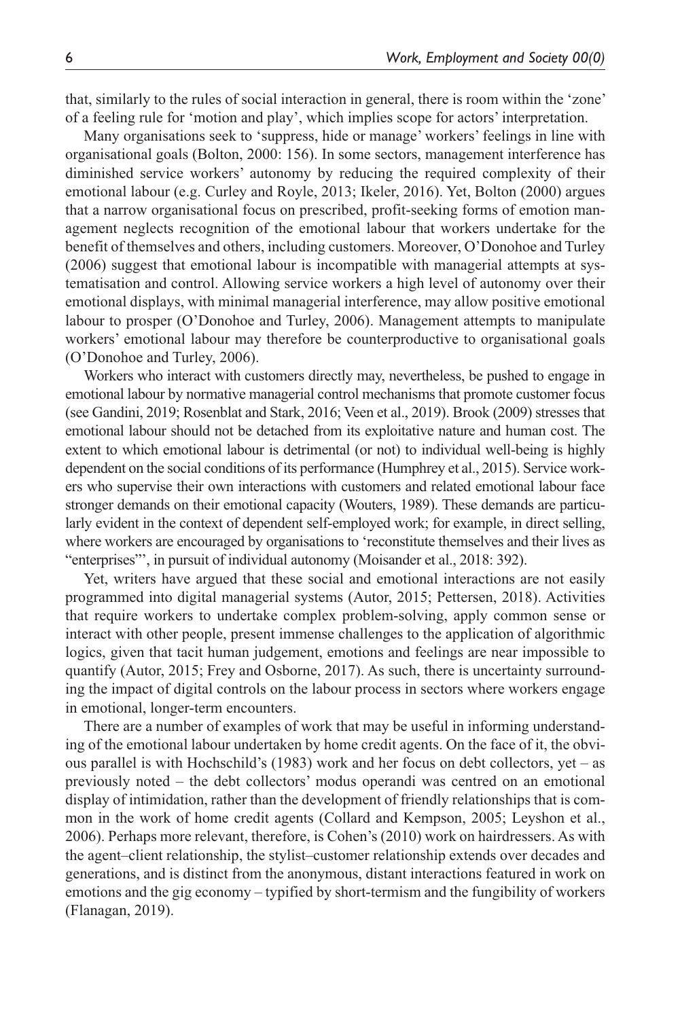that, similarly to the rules of social interaction in general, there is room within the 'zone' of a feeling rule for 'motion and play', which implies scope for actors' interpretation.

Many organisations seek to 'suppress, hide or manage' workers' feelings in line with organisational goals (Bolton, 2000: 156). In some sectors, management interference has diminished service workers' autonomy by reducing the required complexity of their emotional labour (e.g. Curley and Royle, 2013; Ikeler, 2016). Yet, Bolton (2000) argues that a narrow organisational focus on prescribed, profit-seeking forms of emotion management neglects recognition of the emotional labour that workers undertake for the benefit of themselves and others, including customers. Moreover, O'Donohoe and Turley (2006) suggest that emotional labour is incompatible with managerial attempts at systematisation and control. Allowing service workers a high level of autonomy over their emotional displays, with minimal managerial interference, may allow positive emotional labour to prosper (O'Donohoe and Turley, 2006). Management attempts to manipulate workers' emotional labour may therefore be counterproductive to organisational goals (O'Donohoe and Turley, 2006).

Workers who interact with customers directly may, nevertheless, be pushed to engage in emotional labour by normative managerial control mechanisms that promote customer focus (see Gandini, 2019; Rosenblat and Stark, 2016; Veen et al., 2019). Brook (2009) stresses that emotional labour should not be detached from its exploitative nature and human cost. The extent to which emotional labour is detrimental (or not) to individual well-being is highly dependent on the social conditions of its performance (Humphrey et al., 2015). Service workers who supervise their own interactions with customers and related emotional labour face stronger demands on their emotional capacity (Wouters, 1989). These demands are particularly evident in the context of dependent self-employed work; for example, in direct selling, where workers are encouraged by organisations to 'reconstitute themselves and their lives as "enterprises"', in pursuit of individual autonomy (Moisander et al., 2018: 392).

Yet, writers have argued that these social and emotional interactions are not easily programmed into digital managerial systems (Autor, 2015; Pettersen, 2018). Activities that require workers to undertake complex problem-solving, apply common sense or interact with other people, present immense challenges to the application of algorithmic logics, given that tacit human judgement, emotions and feelings are near impossible to quantify (Autor, 2015; Frey and Osborne, 2017). As such, there is uncertainty surrounding the impact of digital controls on the labour process in sectors where workers engage in emotional, longer-term encounters.

There are a number of examples of work that may be useful in informing understanding of the emotional labour undertaken by home credit agents. On the face of it, the obvious parallel is with Hochschild's  $(1983)$  work and her focus on debt collectors, yet – as previously noted – the debt collectors' modus operandi was centred on an emotional display of intimidation, rather than the development of friendly relationships that is common in the work of home credit agents (Collard and Kempson, 2005; Leyshon et al., 2006). Perhaps more relevant, therefore, is Cohen's (2010) work on hairdressers. As with the agent–client relationship, the stylist–customer relationship extends over decades and generations, and is distinct from the anonymous, distant interactions featured in work on emotions and the gig economy – typified by short-termism and the fungibility of workers (Flanagan, 2019).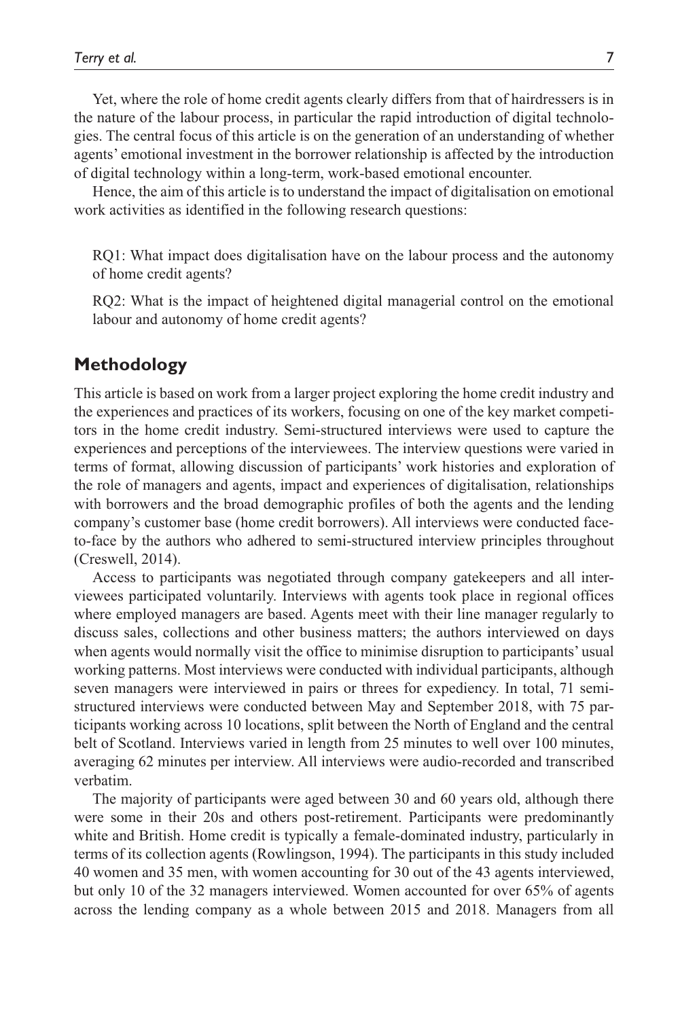Yet, where the role of home credit agents clearly differs from that of hairdressers is in the nature of the labour process, in particular the rapid introduction of digital technologies. The central focus of this article is on the generation of an understanding of whether agents' emotional investment in the borrower relationship is affected by the introduction of digital technology within a long-term, work-based emotional encounter.

Hence, the aim of this article is to understand the impact of digitalisation on emotional work activities as identified in the following research questions:

RQ1: What impact does digitalisation have on the labour process and the autonomy of home credit agents?

RQ2: What is the impact of heightened digital managerial control on the emotional labour and autonomy of home credit agents?

# **Methodology**

This article is based on work from a larger project exploring the home credit industry and the experiences and practices of its workers, focusing on one of the key market competitors in the home credit industry. Semi-structured interviews were used to capture the experiences and perceptions of the interviewees. The interview questions were varied in terms of format, allowing discussion of participants' work histories and exploration of the role of managers and agents, impact and experiences of digitalisation, relationships with borrowers and the broad demographic profiles of both the agents and the lending company's customer base (home credit borrowers). All interviews were conducted faceto-face by the authors who adhered to semi-structured interview principles throughout (Creswell, 2014).

Access to participants was negotiated through company gatekeepers and all interviewees participated voluntarily. Interviews with agents took place in regional offices where employed managers are based. Agents meet with their line manager regularly to discuss sales, collections and other business matters; the authors interviewed on days when agents would normally visit the office to minimise disruption to participants' usual working patterns. Most interviews were conducted with individual participants, although seven managers were interviewed in pairs or threes for expediency. In total, 71 semistructured interviews were conducted between May and September 2018, with 75 participants working across 10 locations, split between the North of England and the central belt of Scotland. Interviews varied in length from 25 minutes to well over 100 minutes, averaging 62 minutes per interview. All interviews were audio-recorded and transcribed verbatim.

The majority of participants were aged between 30 and 60 years old, although there were some in their 20s and others post-retirement. Participants were predominantly white and British. Home credit is typically a female-dominated industry, particularly in terms of its collection agents (Rowlingson, 1994). The participants in this study included 40 women and 35 men, with women accounting for 30 out of the 43 agents interviewed, but only 10 of the 32 managers interviewed. Women accounted for over 65% of agents across the lending company as a whole between 2015 and 2018. Managers from all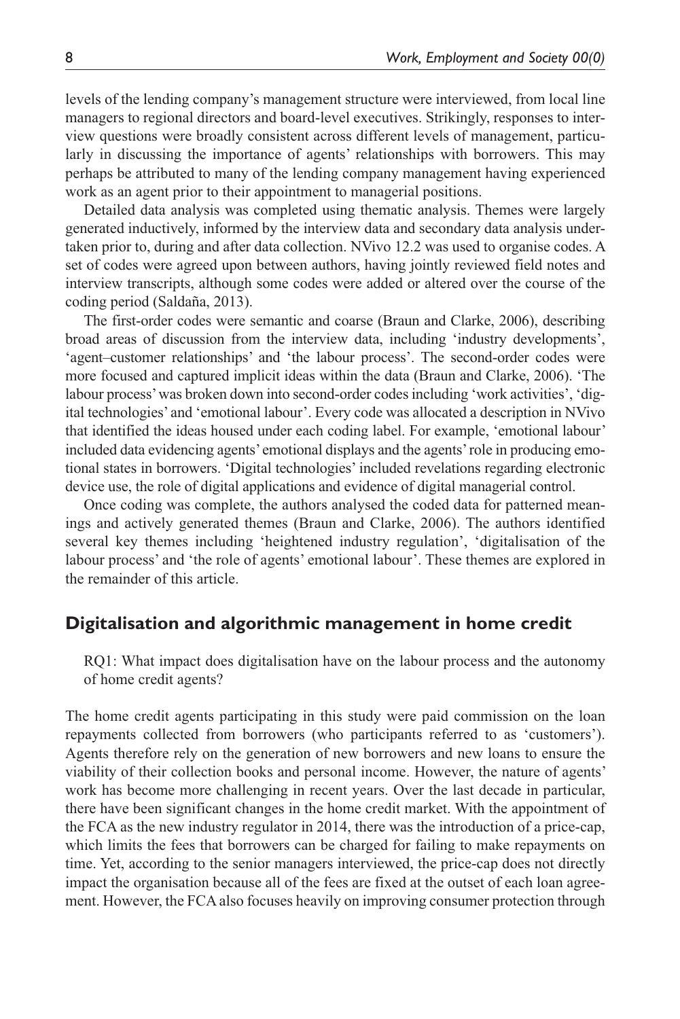levels of the lending company's management structure were interviewed, from local line managers to regional directors and board-level executives. Strikingly, responses to interview questions were broadly consistent across different levels of management, particularly in discussing the importance of agents' relationships with borrowers. This may perhaps be attributed to many of the lending company management having experienced work as an agent prior to their appointment to managerial positions.

Detailed data analysis was completed using thematic analysis. Themes were largely generated inductively, informed by the interview data and secondary data analysis undertaken prior to, during and after data collection. NVivo 12.2 was used to organise codes. A set of codes were agreed upon between authors, having jointly reviewed field notes and interview transcripts, although some codes were added or altered over the course of the coding period (Saldaña, 2013).

The first-order codes were semantic and coarse (Braun and Clarke, 2006), describing broad areas of discussion from the interview data, including 'industry developments', 'agent–customer relationships' and 'the labour process'. The second-order codes were more focused and captured implicit ideas within the data (Braun and Clarke, 2006). 'The labour process' was broken down into second-order codes including 'work activities', 'digital technologies' and 'emotional labour'. Every code was allocated a description in NVivo that identified the ideas housed under each coding label. For example, 'emotional labour' included data evidencing agents' emotional displays and the agents' role in producing emotional states in borrowers. 'Digital technologies' included revelations regarding electronic device use, the role of digital applications and evidence of digital managerial control.

Once coding was complete, the authors analysed the coded data for patterned meanings and actively generated themes (Braun and Clarke, 2006). The authors identified several key themes including 'heightened industry regulation', 'digitalisation of the labour process' and 'the role of agents' emotional labour'. These themes are explored in the remainder of this article.

# **Digitalisation and algorithmic management in home credit**

RQ1: What impact does digitalisation have on the labour process and the autonomy of home credit agents?

The home credit agents participating in this study were paid commission on the loan repayments collected from borrowers (who participants referred to as 'customers'). Agents therefore rely on the generation of new borrowers and new loans to ensure the viability of their collection books and personal income. However, the nature of agents' work has become more challenging in recent years. Over the last decade in particular, there have been significant changes in the home credit market. With the appointment of the FCA as the new industry regulator in 2014, there was the introduction of a price-cap, which limits the fees that borrowers can be charged for failing to make repayments on time. Yet, according to the senior managers interviewed, the price-cap does not directly impact the organisation because all of the fees are fixed at the outset of each loan agreement. However, the FCA also focuses heavily on improving consumer protection through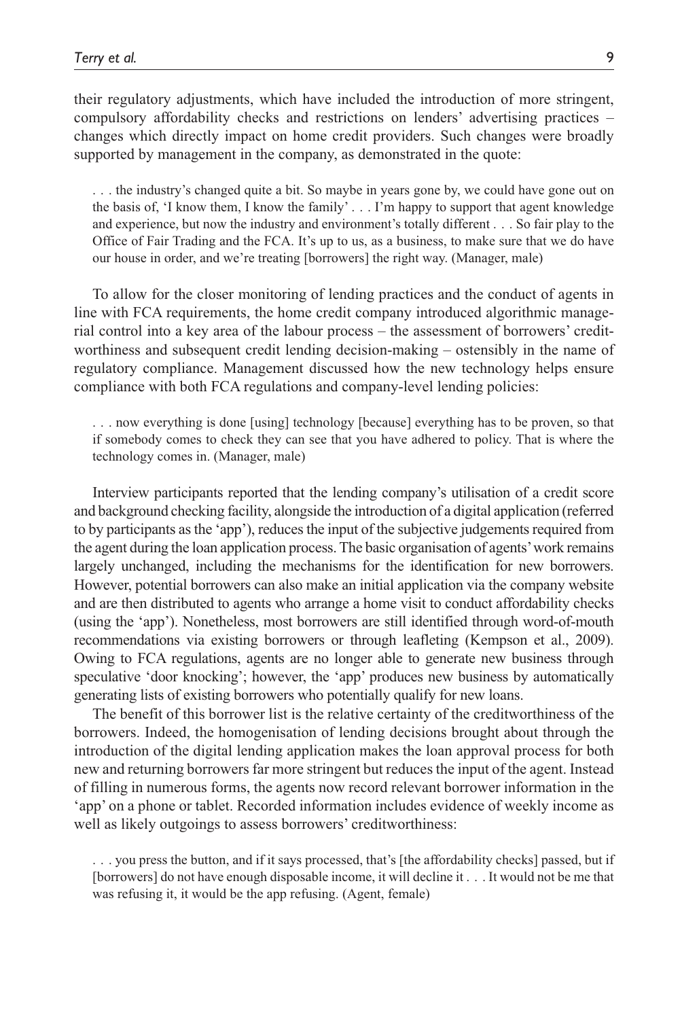their regulatory adjustments, which have included the introduction of more stringent, compulsory affordability checks and restrictions on lenders' advertising practices – changes which directly impact on home credit providers. Such changes were broadly supported by management in the company, as demonstrated in the quote:

. . . the industry's changed quite a bit. So maybe in years gone by, we could have gone out on the basis of, 'I know them, I know the family' . . . I'm happy to support that agent knowledge and experience, but now the industry and environment's totally different . . . So fair play to the Office of Fair Trading and the FCA. It's up to us, as a business, to make sure that we do have our house in order, and we're treating [borrowers] the right way. (Manager, male)

To allow for the closer monitoring of lending practices and the conduct of agents in line with FCA requirements, the home credit company introduced algorithmic managerial control into a key area of the labour process – the assessment of borrowers' creditworthiness and subsequent credit lending decision-making – ostensibly in the name of regulatory compliance. Management discussed how the new technology helps ensure compliance with both FCA regulations and company-level lending policies:

. . . now everything is done [using] technology [because] everything has to be proven, so that if somebody comes to check they can see that you have adhered to policy. That is where the technology comes in. (Manager, male)

Interview participants reported that the lending company's utilisation of a credit score and background checking facility, alongside the introduction of a digital application (referred to by participants as the 'app'), reduces the input of the subjective judgements required from the agent during the loan application process. The basic organisation of agents' work remains largely unchanged, including the mechanisms for the identification for new borrowers. However, potential borrowers can also make an initial application via the company website and are then distributed to agents who arrange a home visit to conduct affordability checks (using the 'app'). Nonetheless, most borrowers are still identified through word-of-mouth recommendations via existing borrowers or through leafleting (Kempson et al., 2009). Owing to FCA regulations, agents are no longer able to generate new business through speculative 'door knocking'; however, the 'app' produces new business by automatically generating lists of existing borrowers who potentially qualify for new loans.

The benefit of this borrower list is the relative certainty of the creditworthiness of the borrowers. Indeed, the homogenisation of lending decisions brought about through the introduction of the digital lending application makes the loan approval process for both new and returning borrowers far more stringent but reduces the input of the agent. Instead of filling in numerous forms, the agents now record relevant borrower information in the 'app' on a phone or tablet. Recorded information includes evidence of weekly income as well as likely outgoings to assess borrowers' creditworthiness:

. . . you press the button, and if it says processed, that's [the affordability checks] passed, but if [borrowers] do not have enough disposable income, it will decline it . . . It would not be me that was refusing it, it would be the app refusing. (Agent, female)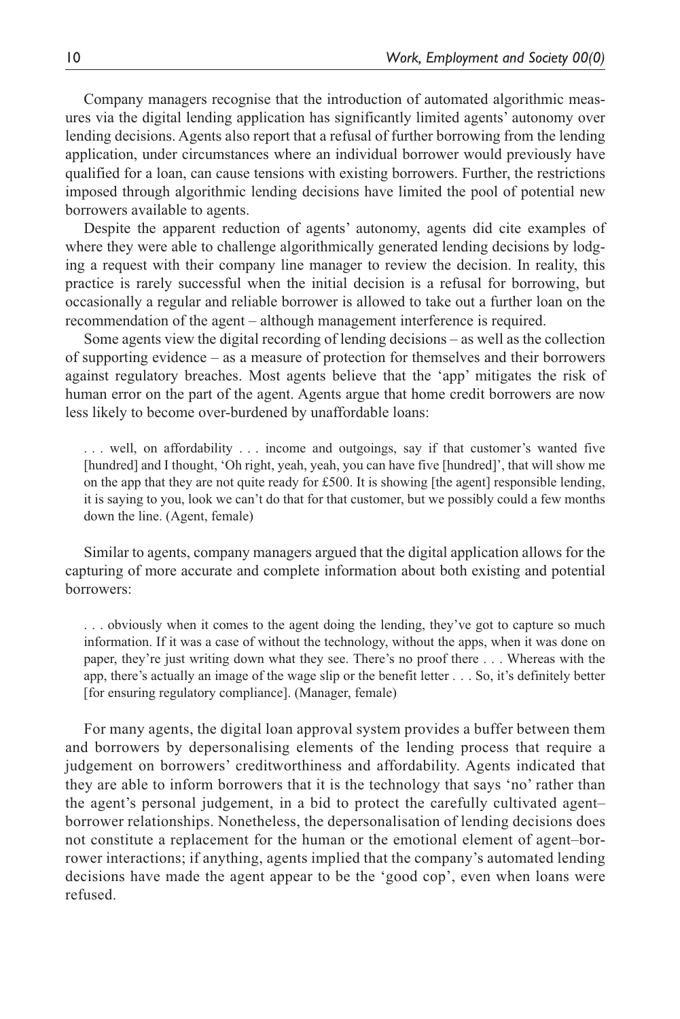Company managers recognise that the introduction of automated algorithmic measures via the digital lending application has significantly limited agents' autonomy over lending decisions. Agents also report that a refusal of further borrowing from the lending application, under circumstances where an individual borrower would previously have qualified for a loan, can cause tensions with existing borrowers. Further, the restrictions imposed through algorithmic lending decisions have limited the pool of potential new borrowers available to agents.

Despite the apparent reduction of agents' autonomy, agents did cite examples of where they were able to challenge algorithmically generated lending decisions by lodging a request with their company line manager to review the decision. In reality, this practice is rarely successful when the initial decision is a refusal for borrowing, but occasionally a regular and reliable borrower is allowed to take out a further loan on the recommendation of the agent – although management interference is required.

Some agents view the digital recording of lending decisions – as well as the collection of supporting evidence – as a measure of protection for themselves and their borrowers against regulatory breaches. Most agents believe that the 'app' mitigates the risk of human error on the part of the agent. Agents argue that home credit borrowers are now less likely to become over-burdened by unaffordable loans:

. . . well, on affordability . . . income and outgoings, say if that customer's wanted five [hundred] and I thought, 'Oh right, yeah, yeah, you can have five [hundred]', that will show me on the app that they are not quite ready for £500. It is showing [the agent] responsible lending, it is saying to you, look we can't do that for that customer, but we possibly could a few months down the line. (Agent, female)

Similar to agents, company managers argued that the digital application allows for the capturing of more accurate and complete information about both existing and potential borrowers:

. . . obviously when it comes to the agent doing the lending, they've got to capture so much information. If it was a case of without the technology, without the apps, when it was done on paper, they're just writing down what they see. There's no proof there . . . Whereas with the app, there's actually an image of the wage slip or the benefit letter . . . So, it's definitely better [for ensuring regulatory compliance]. (Manager, female)

For many agents, the digital loan approval system provides a buffer between them and borrowers by depersonalising elements of the lending process that require a judgement on borrowers' creditworthiness and affordability. Agents indicated that they are able to inform borrowers that it is the technology that says 'no' rather than the agent's personal judgement, in a bid to protect the carefully cultivated agent– borrower relationships. Nonetheless, the depersonalisation of lending decisions does not constitute a replacement for the human or the emotional element of agent–borrower interactions; if anything, agents implied that the company's automated lending decisions have made the agent appear to be the 'good cop', even when loans were refused.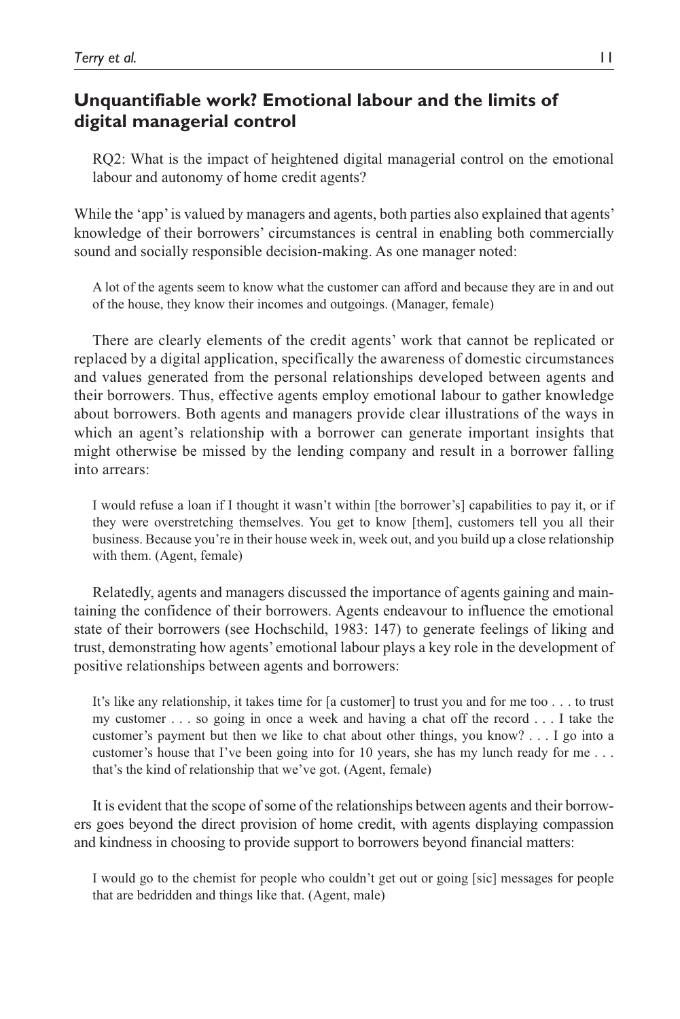# **Unquantifiable work? Emotional labour and the limits of digital managerial control**

RQ2: What is the impact of heightened digital managerial control on the emotional labour and autonomy of home credit agents?

While the 'app' is valued by managers and agents, both parties also explained that agents' knowledge of their borrowers' circumstances is central in enabling both commercially sound and socially responsible decision-making. As one manager noted:

A lot of the agents seem to know what the customer can afford and because they are in and out of the house, they know their incomes and outgoings. (Manager, female)

There are clearly elements of the credit agents' work that cannot be replicated or replaced by a digital application, specifically the awareness of domestic circumstances and values generated from the personal relationships developed between agents and their borrowers. Thus, effective agents employ emotional labour to gather knowledge about borrowers. Both agents and managers provide clear illustrations of the ways in which an agent's relationship with a borrower can generate important insights that might otherwise be missed by the lending company and result in a borrower falling into arrears:

I would refuse a loan if I thought it wasn't within [the borrower's] capabilities to pay it, or if they were overstretching themselves. You get to know [them], customers tell you all their business. Because you're in their house week in, week out, and you build up a close relationship with them. (Agent, female)

Relatedly, agents and managers discussed the importance of agents gaining and maintaining the confidence of their borrowers. Agents endeavour to influence the emotional state of their borrowers (see Hochschild, 1983: 147) to generate feelings of liking and trust, demonstrating how agents' emotional labour plays a key role in the development of positive relationships between agents and borrowers:

It's like any relationship, it takes time for [a customer] to trust you and for me too . . . to trust my customer . . . so going in once a week and having a chat off the record . . . I take the customer's payment but then we like to chat about other things, you know? . . . I go into a customer's house that I've been going into for 10 years, she has my lunch ready for me . . . that's the kind of relationship that we've got. (Agent, female)

It is evident that the scope of some of the relationships between agents and their borrowers goes beyond the direct provision of home credit, with agents displaying compassion and kindness in choosing to provide support to borrowers beyond financial matters:

I would go to the chemist for people who couldn't get out or going [sic] messages for people that are bedridden and things like that. (Agent, male)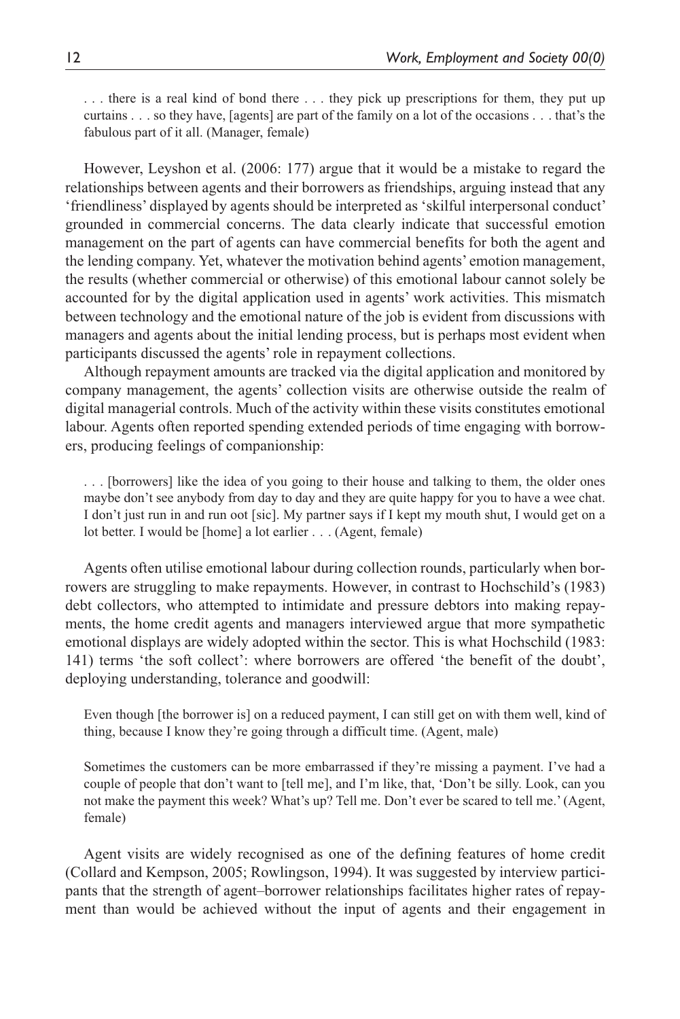. . . there is a real kind of bond there . . . they pick up prescriptions for them, they put up curtains . . . so they have, [agents] are part of the family on a lot of the occasions . . . that's the fabulous part of it all. (Manager, female)

However, Leyshon et al. (2006: 177) argue that it would be a mistake to regard the relationships between agents and their borrowers as friendships, arguing instead that any 'friendliness' displayed by agents should be interpreted as 'skilful interpersonal conduct' grounded in commercial concerns. The data clearly indicate that successful emotion management on the part of agents can have commercial benefits for both the agent and the lending company. Yet, whatever the motivation behind agents' emotion management, the results (whether commercial or otherwise) of this emotional labour cannot solely be accounted for by the digital application used in agents' work activities. This mismatch between technology and the emotional nature of the job is evident from discussions with managers and agents about the initial lending process, but is perhaps most evident when participants discussed the agents' role in repayment collections.

Although repayment amounts are tracked via the digital application and monitored by company management, the agents' collection visits are otherwise outside the realm of digital managerial controls. Much of the activity within these visits constitutes emotional labour. Agents often reported spending extended periods of time engaging with borrowers, producing feelings of companionship:

. . . [borrowers] like the idea of you going to their house and talking to them, the older ones maybe don't see anybody from day to day and they are quite happy for you to have a wee chat. I don't just run in and run oot [sic]. My partner says if I kept my mouth shut, I would get on a lot better. I would be [home] a lot earlier . . . (Agent, female)

Agents often utilise emotional labour during collection rounds, particularly when borrowers are struggling to make repayments. However, in contrast to Hochschild's (1983) debt collectors, who attempted to intimidate and pressure debtors into making repayments, the home credit agents and managers interviewed argue that more sympathetic emotional displays are widely adopted within the sector. This is what Hochschild (1983: 141) terms 'the soft collect': where borrowers are offered 'the benefit of the doubt', deploying understanding, tolerance and goodwill:

Even though [the borrower is] on a reduced payment, I can still get on with them well, kind of thing, because I know they're going through a difficult time. (Agent, male)

Sometimes the customers can be more embarrassed if they're missing a payment. I've had a couple of people that don't want to [tell me], and I'm like, that, 'Don't be silly. Look, can you not make the payment this week? What's up? Tell me. Don't ever be scared to tell me.' (Agent, female)

Agent visits are widely recognised as one of the defining features of home credit (Collard and Kempson, 2005; Rowlingson, 1994). It was suggested by interview participants that the strength of agent–borrower relationships facilitates higher rates of repayment than would be achieved without the input of agents and their engagement in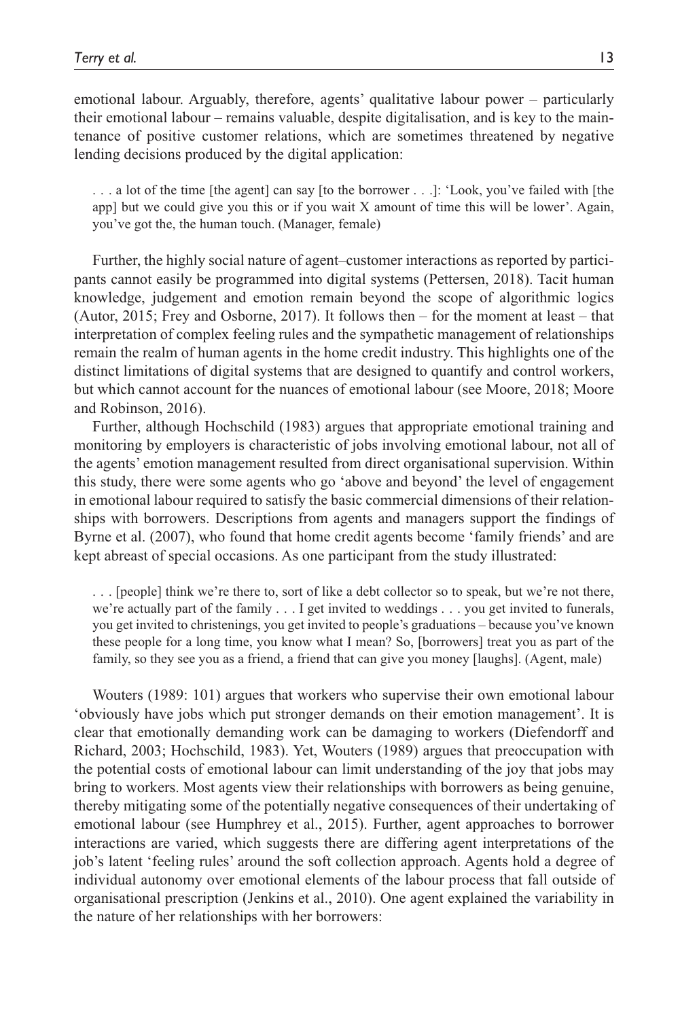emotional labour. Arguably, therefore, agents' qualitative labour power – particularly their emotional labour – remains valuable, despite digitalisation, and is key to the maintenance of positive customer relations, which are sometimes threatened by negative lending decisions produced by the digital application:

. . . a lot of the time [the agent] can say [to the borrower . . .]: 'Look, you've failed with [the app] but we could give you this or if you wait X amount of time this will be lower'. Again, you've got the, the human touch. (Manager, female)

Further, the highly social nature of agent–customer interactions as reported by participants cannot easily be programmed into digital systems (Pettersen, 2018). Tacit human knowledge, judgement and emotion remain beyond the scope of algorithmic logics (Autor, 2015; Frey and Osborne, 2017). It follows then – for the moment at least – that interpretation of complex feeling rules and the sympathetic management of relationships remain the realm of human agents in the home credit industry. This highlights one of the distinct limitations of digital systems that are designed to quantify and control workers, but which cannot account for the nuances of emotional labour (see Moore, 2018; Moore and Robinson, 2016).

Further, although Hochschild (1983) argues that appropriate emotional training and monitoring by employers is characteristic of jobs involving emotional labour, not all of the agents' emotion management resulted from direct organisational supervision. Within this study, there were some agents who go 'above and beyond' the level of engagement in emotional labour required to satisfy the basic commercial dimensions of their relationships with borrowers. Descriptions from agents and managers support the findings of Byrne et al. (2007), who found that home credit agents become 'family friends' and are kept abreast of special occasions. As one participant from the study illustrated:

. . . [people] think we're there to, sort of like a debt collector so to speak, but we're not there, we're actually part of the family . . . I get invited to weddings . . . you get invited to funerals, you get invited to christenings, you get invited to people's graduations – because you've known these people for a long time, you know what I mean? So, [borrowers] treat you as part of the family, so they see you as a friend, a friend that can give you money [laughs]. (Agent, male)

Wouters (1989: 101) argues that workers who supervise their own emotional labour 'obviously have jobs which put stronger demands on their emotion management'. It is clear that emotionally demanding work can be damaging to workers (Diefendorff and Richard, 2003; Hochschild, 1983). Yet, Wouters (1989) argues that preoccupation with the potential costs of emotional labour can limit understanding of the joy that jobs may bring to workers. Most agents view their relationships with borrowers as being genuine, thereby mitigating some of the potentially negative consequences of their undertaking of emotional labour (see Humphrey et al., 2015). Further, agent approaches to borrower interactions are varied, which suggests there are differing agent interpretations of the job's latent 'feeling rules' around the soft collection approach. Agents hold a degree of individual autonomy over emotional elements of the labour process that fall outside of organisational prescription (Jenkins et al., 2010). One agent explained the variability in the nature of her relationships with her borrowers: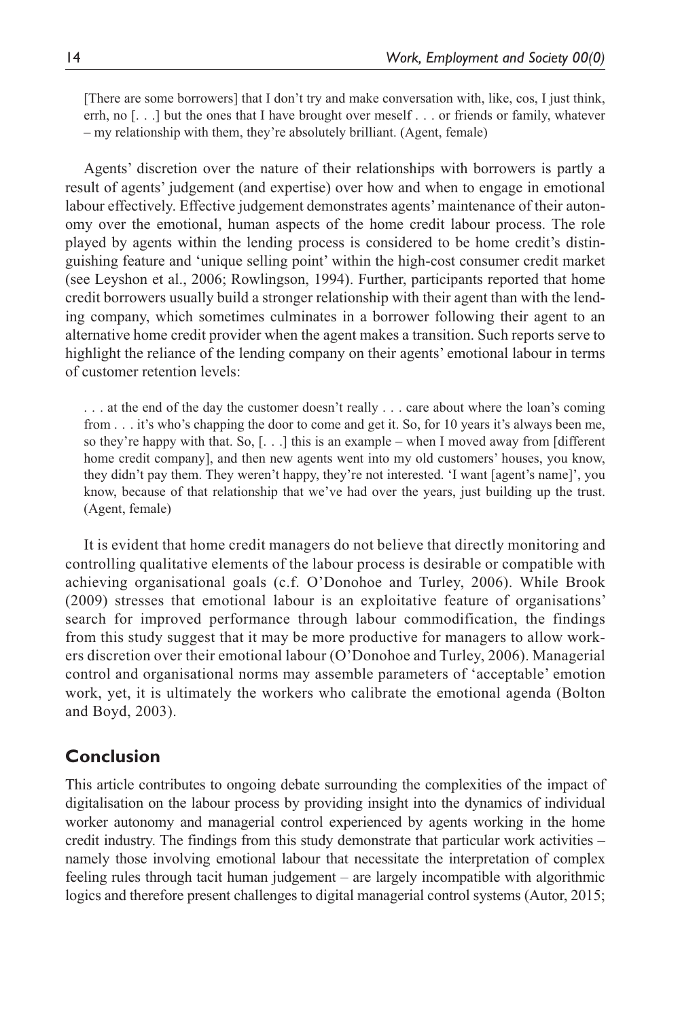[There are some borrowers] that I don't try and make conversation with, like, cos, I just think, errh, no [. . .] but the ones that I have brought over meself . . . or friends or family, whatever – my relationship with them, they're absolutely brilliant. (Agent, female)

Agents' discretion over the nature of their relationships with borrowers is partly a result of agents' judgement (and expertise) over how and when to engage in emotional labour effectively. Effective judgement demonstrates agents' maintenance of their autonomy over the emotional, human aspects of the home credit labour process. The role played by agents within the lending process is considered to be home credit's distinguishing feature and 'unique selling point' within the high-cost consumer credit market (see Leyshon et al., 2006; Rowlingson, 1994). Further, participants reported that home credit borrowers usually build a stronger relationship with their agent than with the lending company, which sometimes culminates in a borrower following their agent to an alternative home credit provider when the agent makes a transition. Such reports serve to highlight the reliance of the lending company on their agents' emotional labour in terms of customer retention levels:

. . . at the end of the day the customer doesn't really . . . care about where the loan's coming from . . . it's who's chapping the door to come and get it. So, for 10 years it's always been me, so they're happy with that. So,  $\left[ \ldots \right]$  this is an example – when I moved away from [different home credit company], and then new agents went into my old customers' houses, you know, they didn't pay them. They weren't happy, they're not interested. 'I want [agent's name]', you know, because of that relationship that we've had over the years, just building up the trust. (Agent, female)

It is evident that home credit managers do not believe that directly monitoring and controlling qualitative elements of the labour process is desirable or compatible with achieving organisational goals (c.f. O'Donohoe and Turley, 2006). While Brook (2009) stresses that emotional labour is an exploitative feature of organisations' search for improved performance through labour commodification, the findings from this study suggest that it may be more productive for managers to allow workers discretion over their emotional labour (O'Donohoe and Turley, 2006). Managerial control and organisational norms may assemble parameters of 'acceptable' emotion work, yet, it is ultimately the workers who calibrate the emotional agenda (Bolton and Boyd, 2003).

# **Conclusion**

This article contributes to ongoing debate surrounding the complexities of the impact of digitalisation on the labour process by providing insight into the dynamics of individual worker autonomy and managerial control experienced by agents working in the home credit industry. The findings from this study demonstrate that particular work activities – namely those involving emotional labour that necessitate the interpretation of complex feeling rules through tacit human judgement – are largely incompatible with algorithmic logics and therefore present challenges to digital managerial control systems (Autor, 2015;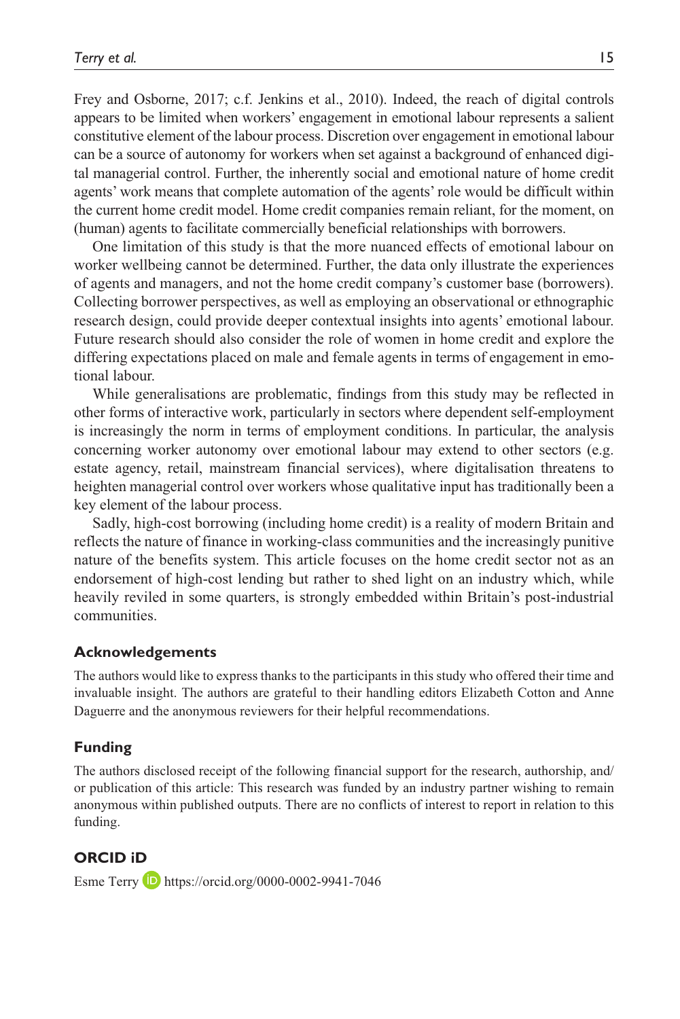Frey and Osborne, 2017; c.f. Jenkins et al., 2010). Indeed, the reach of digital controls appears to be limited when workers' engagement in emotional labour represents a salient constitutive element of the labour process. Discretion over engagement in emotional labour can be a source of autonomy for workers when set against a background of enhanced digital managerial control. Further, the inherently social and emotional nature of home credit agents' work means that complete automation of the agents' role would be difficult within the current home credit model. Home credit companies remain reliant, for the moment, on (human) agents to facilitate commercially beneficial relationships with borrowers.

One limitation of this study is that the more nuanced effects of emotional labour on worker wellbeing cannot be determined. Further, the data only illustrate the experiences of agents and managers, and not the home credit company's customer base (borrowers). Collecting borrower perspectives, as well as employing an observational or ethnographic research design, could provide deeper contextual insights into agents' emotional labour. Future research should also consider the role of women in home credit and explore the differing expectations placed on male and female agents in terms of engagement in emotional labour.

While generalisations are problematic, findings from this study may be reflected in other forms of interactive work, particularly in sectors where dependent self-employment is increasingly the norm in terms of employment conditions. In particular, the analysis concerning worker autonomy over emotional labour may extend to other sectors (e.g. estate agency, retail, mainstream financial services), where digitalisation threatens to heighten managerial control over workers whose qualitative input has traditionally been a key element of the labour process.

Sadly, high-cost borrowing (including home credit) is a reality of modern Britain and reflects the nature of finance in working-class communities and the increasingly punitive nature of the benefits system. This article focuses on the home credit sector not as an endorsement of high-cost lending but rather to shed light on an industry which, while heavily reviled in some quarters, is strongly embedded within Britain's post-industrial communities.

#### **Acknowledgements**

The authors would like to express thanks to the participants in this study who offered their time and invaluable insight. The authors are grateful to their handling editors Elizabeth Cotton and Anne Daguerre and the anonymous reviewers for their helpful recommendations.

#### **Funding**

The authors disclosed receipt of the following financial support for the research, authorship, and/ or publication of this article: This research was funded by an industry partner wishing to remain anonymous within published outputs. There are no conflicts of interest to report in relation to this funding.

**ORCID iD** Esme Terry **D** <https://orcid.org/0000-0002-9941-7046>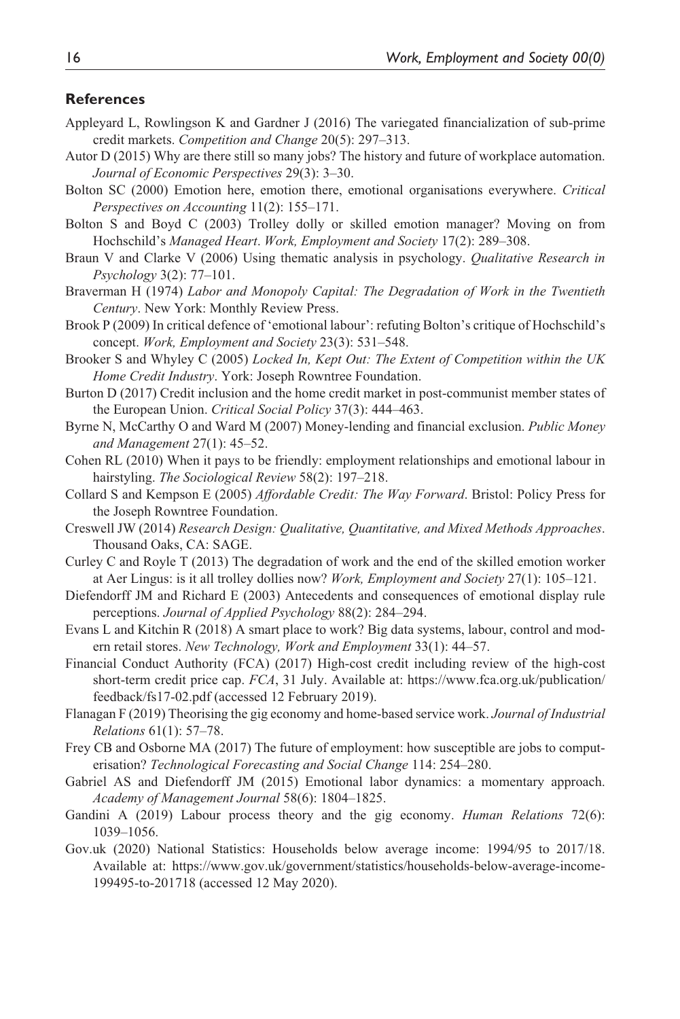#### **References**

- Appleyard L, Rowlingson K and Gardner J (2016) The variegated financialization of sub-prime credit markets. *Competition and Change* 20(5): 297–313.
- Autor D (2015) Why are there still so many jobs? The history and future of workplace automation. *Journal of Economic Perspectives* 29(3): 3–30.
- Bolton SC (2000) Emotion here, emotion there, emotional organisations everywhere. *Critical Perspectives on Accounting* 11(2): 155–171.
- Bolton S and Boyd C (2003) Trolley dolly or skilled emotion manager? Moving on from Hochschild's *Managed Heart*. *Work, Employment and Society* 17(2): 289–308.
- Braun V and Clarke V (2006) Using thematic analysis in psychology. *Qualitative Research in Psychology* 3(2): 77–101.
- Braverman H (1974) *Labor and Monopoly Capital: The Degradation of Work in the Twentieth Century*. New York: Monthly Review Press.
- Brook P (2009) In critical defence of 'emotional labour': refuting Bolton's critique of Hochschild's concept. *Work, Employment and Society* 23(3): 531–548.
- Brooker S and Whyley C (2005) *Locked In, Kept Out: The Extent of Competition within the UK Home Credit Industry*. York: Joseph Rowntree Foundation.
- Burton D (2017) Credit inclusion and the home credit market in post-communist member states of the European Union. *Critical Social Policy* 37(3): 444–463.
- Byrne N, McCarthy O and Ward M (2007) Money-lending and financial exclusion. *Public Money and Management* 27(1): 45–52.
- Cohen RL (2010) When it pays to be friendly: employment relationships and emotional labour in hairstyling. *The Sociological Review* 58(2): 197–218.
- Collard S and Kempson E (2005) *Affordable Credit: The Way Forward*. Bristol: Policy Press for the Joseph Rowntree Foundation.
- Creswell JW (2014) *Research Design: Qualitative, Quantitative, and Mixed Methods Approaches*. Thousand Oaks, CA: SAGE.
- Curley C and Royle T (2013) The degradation of work and the end of the skilled emotion worker at Aer Lingus: is it all trolley dollies now? *Work, Employment and Society* 27(1): 105–121.
- Diefendorff JM and Richard E (2003) Antecedents and consequences of emotional display rule perceptions. *Journal of Applied Psychology* 88(2): 284–294.
- Evans L and Kitchin R (2018) A smart place to work? Big data systems, labour, control and modern retail stores. *New Technology, Work and Employment* 33(1): 44–57.
- Financial Conduct Authority (FCA) (2017) High-cost credit including review of the high-cost short-term credit price cap. *FCA*, 31 July. Available at: [https://www.fca.org.uk/publication/](https://www.fca.org.uk/publication/feedback/fs17-02.pdf) [feedback/fs17-02.pdf](https://www.fca.org.uk/publication/feedback/fs17-02.pdf) (accessed 12 February 2019).
- Flanagan F (2019) Theorising the gig economy and home-based service work. *Journal of Industrial Relations* 61(1): 57–78.
- Frey CB and Osborne MA (2017) The future of employment: how susceptible are jobs to computerisation? *Technological Forecasting and Social Change* 114: 254–280.
- Gabriel AS and Diefendorff JM (2015) Emotional labor dynamics: a momentary approach. *Academy of Management Journal* 58(6): 1804–1825.
- Gandini A (2019) Labour process theory and the gig economy. *Human Relations* 72(6): 1039–1056.
- Gov.uk (2020) National Statistics: Households below average income: 1994/95 to 2017/18. Available at: [https://www.gov.uk/government/statistics/households-below-average-income-](https://www.gov.uk/government/statistics/households-below-average-income-199495-to-201718)[199495-to-201718](https://www.gov.uk/government/statistics/households-below-average-income-199495-to-201718) (accessed 12 May 2020).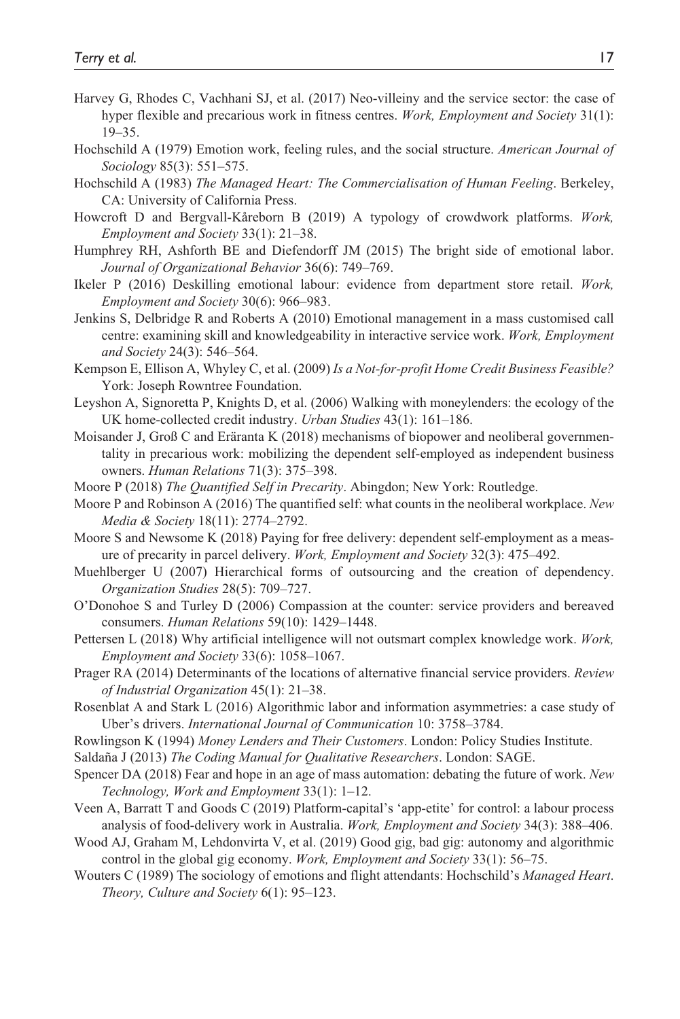- Harvey G, Rhodes C, Vachhani SJ, et al. (2017) Neo-villeiny and the service sector: the case of hyper flexible and precarious work in fitness centres. *Work, Employment and Society* 31(1): 19–35.
- Hochschild A (1979) Emotion work, feeling rules, and the social structure. *American Journal of Sociology* 85(3): 551–575.
- Hochschild A (1983) *The Managed Heart: The Commercialisation of Human Feeling*. Berkeley, CA: University of California Press.
- Howcroft D and Bergvall-Kåreborn B (2019) A typology of crowdwork platforms. *Work, Employment and Society* 33(1): 21–38.
- Humphrey RH, Ashforth BE and Diefendorff JM (2015) The bright side of emotional labor. *Journal of Organizational Behavior* 36(6): 749–769.
- Ikeler P (2016) Deskilling emotional labour: evidence from department store retail. *Work, Employment and Society* 30(6): 966–983.
- Jenkins S, Delbridge R and Roberts A (2010) Emotional management in a mass customised call centre: examining skill and knowledgeability in interactive service work. *Work, Employment and Society* 24(3): 546–564.
- Kempson E, Ellison A, Whyley C, et al. (2009) *Is a Not-for-profit Home Credit Business Feasible?* York: Joseph Rowntree Foundation.
- Leyshon A, Signoretta P, Knights D, et al. (2006) Walking with moneylenders: the ecology of the UK home-collected credit industry. *Urban Studies* 43(1): 161–186.
- Moisander J, Groß C and Eräranta K (2018) mechanisms of biopower and neoliberal governmentality in precarious work: mobilizing the dependent self-employed as independent business owners. *Human Relations* 71(3): 375–398.
- Moore P (2018) *The Quantified Self in Precarity*. Abingdon; New York: Routledge.
- Moore P and Robinson A (2016) The quantified self: what counts in the neoliberal workplace. *New Media & Society* 18(11): 2774–2792.
- Moore S and Newsome K (2018) Paying for free delivery: dependent self-employment as a measure of precarity in parcel delivery. *Work, Employment and Society* 32(3): 475–492.
- Muehlberger U (2007) Hierarchical forms of outsourcing and the creation of dependency. *Organization Studies* 28(5): 709–727.
- O'Donohoe S and Turley D (2006) Compassion at the counter: service providers and bereaved consumers. *Human Relations* 59(10): 1429–1448.
- Pettersen L (2018) Why artificial intelligence will not outsmart complex knowledge work. *Work, Employment and Society* 33(6): 1058–1067.
- Prager RA (2014) Determinants of the locations of alternative financial service providers. *Review of Industrial Organization* 45(1): 21–38.
- Rosenblat A and Stark L (2016) Algorithmic labor and information asymmetries: a case study of Uber's drivers. *International Journal of Communication* 10: 3758–3784.
- Rowlingson K (1994) *Money Lenders and Their Customers*. London: Policy Studies Institute.
- Saldaña J (2013) *The Coding Manual for Qualitative Researchers*. London: SAGE.
- Spencer DA (2018) Fear and hope in an age of mass automation: debating the future of work. *New Technology, Work and Employment* 33(1): 1–12.
- Veen A, Barratt T and Goods C (2019) Platform-capital's 'app-etite' for control: a labour process analysis of food-delivery work in Australia. *Work, Employment and Society* 34(3): 388–406.
- Wood AJ, Graham M, Lehdonvirta V, et al. (2019) Good gig, bad gig: autonomy and algorithmic control in the global gig economy. *Work, Employment and Society* 33(1): 56–75.
- Wouters C (1989) The sociology of emotions and flight attendants: Hochschild's *Managed Heart*. *Theory, Culture and Society* 6(1): 95–123.